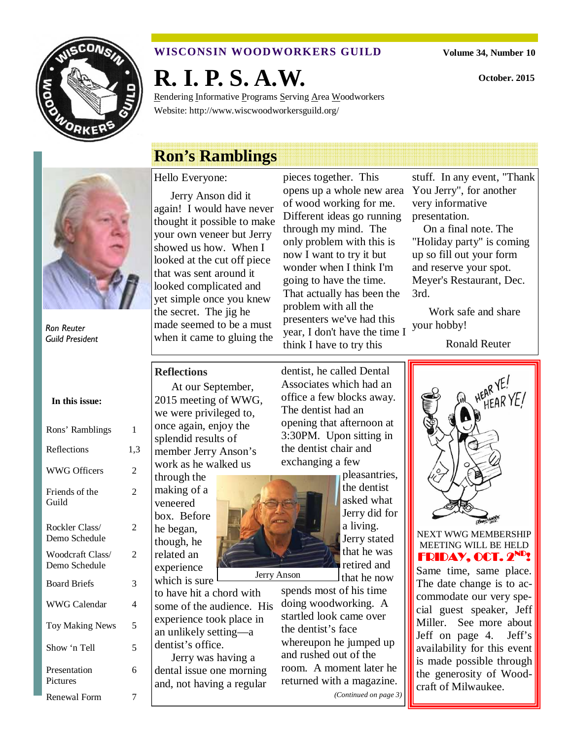

## **WISCONSIN WOODWORKERS GUILD**

**Volume 34, Number 10** 

**October. 2015** 

**R. I. P. S. A.W.** 

Rendering Informative Programs Serving Area Woodworkers Website: http://www.wiscwoodworkersguild.org/

# **Ron's Ramblings**



Ron Reuter Guild President

| In this issue:                    |                |
|-----------------------------------|----------------|
| Rons' Ramblings                   | 1              |
| Reflections                       | 1,3            |
| <b>WWG Officers</b>               | 2              |
| Friends of the<br>Guild           | $\overline{c}$ |
| Rockler Class/<br>Demo Schedule   | 2              |
| Woodcraft Class/<br>Demo Schedule | 2              |
| <b>Board Briefs</b>               | 3              |
| <b>WWG Calendar</b>               | 4              |
| <b>Toy Making News</b>            | 5              |
| Show 'n Tell                      | 5              |
| Presentation<br>Pictures          | 6              |
| Renewal Form                      | 7              |

# Hello Everyone:

Jerry Anson did it again! I would have never thought it possible to make your own veneer but Jerry showed us how. When I looked at the cut off piece that was sent around it looked complicated and yet simple once you knew the secret. The jig he made seemed to be a must when it came to gluing the

pieces together. This opens up a whole new area of wood working for me. Different ideas go running through my mind. The only problem with this is now I want to try it but wonder when I think I'm going to have the time. That actually has been the problem with all the presenters we've had this year, I don't have the time I think I have to try this

stuff. In any event, "Thank You Jerry", for another very informative presentation.

 On a final note. The "Holiday party" is coming up so fill out your form and reserve your spot. Meyer's Restaurant, Dec. 3rd.

Work safe and share your hobby!

Ronald Reuter

### **Reflections**

At our September, 2015 meeting of WWG, we were privileged to, once again, enjoy the splendid results of member Jerry Anson's work as he walked us

through the making of a veneered box. Before he began, though, he related an

experience which is sure to have hit a chord with some of the audience. His experience took place in an unlikely setting—a dentist's office.

Jerry was having a dental issue one morning and, not having a regular

dentist, he called Dental Associates which had an office a few blocks away. The dentist had an opening that afternoon at 3:30PM. Upon sitting in the dentist chair and exchanging a few



pleasantries, the dentist asked what Jerry did for a living. Jerry stated that he was retired and that he now

spends most of his time doing woodworking. A startled look came over the dentist's face whereupon he jumped up and rushed out of the room. A moment later he returned with a magazine. *(Continued on page 3)* 



NEXT WWG MEMBERSHIP MEETING WILL BE HELD FRIDAY, OCT. 2<sup>ND</sup>!

Same time, same place. The date change is to accommodate our very special guest speaker, Jeff Miller. See more about Jeff on page 4. Jeff's availability for this event is made possible through the generosity of Woodcraft of Milwaukee.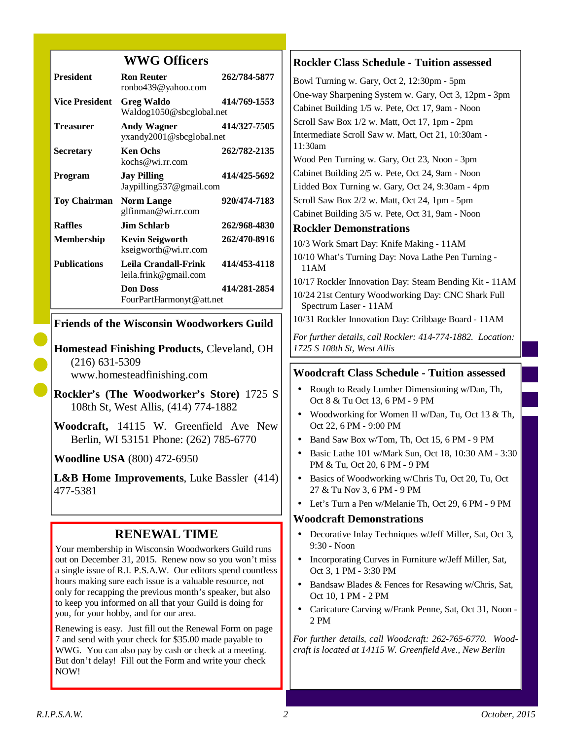## **WWG Officers**

| <b>President</b>      | <b>Ron Reuter</b><br>ronbo439@yahoo.com        | 262/784-5877 |
|-----------------------|------------------------------------------------|--------------|
| <b>Vice President</b> | <b>Greg Waldo</b><br>Waldog1050@sbcglobal.net  | 414/769-1553 |
| <b>Treasurer</b>      | <b>Andy Wagner</b><br>yxandy2001@sbcglobal.net | 414/327-7505 |
| <b>Secretary</b>      | <b>Ken Ochs</b><br>kochs@wi.rr.com             | 262/782-2135 |
| Program               | <b>Jay Pilling</b><br>Jaypilling537@gmail.com  | 414/425-5692 |
| <b>Toy Chairman</b>   | <b>Norm Lange</b><br>glfinman@wi.rr.com        | 920/474-7183 |
| <b>Raffles</b>        | Jim Schlarb.                                   | 262/968-4830 |
| <b>Membership</b>     | <b>Kevin Seigworth</b><br>kseigworth@wi.rr.com | 262/470-8916 |
| <b>Publications</b>   | Leila Crandall-Frink<br>leila.frink@gmail.com  | 414/453-4118 |
|                       | <b>Don Doss</b><br>FourPartHarmonyt@att.net    | 414/281-2854 |

## **Friends of the Wisconsin Woodworkers Guild**

**Homestead Finishing Products**, Cleveland, OH (216) 631-5309 www.homesteadfinishing.com

**Rockler's (The Woodworker's Store)** 1725 S 108th St, West Allis, (414) 774-1882

**Woodcraft,** 14115 W. Greenfield Ave New Berlin, WI 53151 Phone: (262) 785-6770

**Woodline USA** (800) 472-6950

**L&B Home Improvements**, Luke Bassler (414) 477-5381

## **RENEWAL TIME**

Your membership in Wisconsin Woodworkers Guild runs out on December 31, 2015. Renew now so you won't miss a single issue of R.I. P.S.A.W. Our editors spend countless hours making sure each issue is a valuable resource, not only for recapping the previous month's speaker, but also to keep you informed on all that your Guild is doing for you, for your hobby, and for our area.

Renewing is easy. Just fill out the Renewal Form on page 7 and send with your check for \$35.00 made payable to WWG. You can also pay by cash or check at a meeting. But don't delay! Fill out the Form and write your check NOW!

## **Rockler Class Schedule - Tuition assessed**

Bowl Turning w. Gary, Oct 2, 12:30pm - 5pm One-way Sharpening System w. Gary, Oct 3, 12pm - 3pm Cabinet Building 1/5 w. Pete, Oct 17, 9am - Noon Scroll Saw Box 1/2 w. Matt, Oct 17, 1pm - 2pm Intermediate Scroll Saw w. Matt, Oct 21, 10:30am - 11:30am Wood Pen Turning w. Gary, Oct 23, Noon - 3pm Cabinet Building 2/5 w. Pete, Oct 24, 9am - Noon Lidded Box Turning w. Gary, Oct 24, 9:30am - 4pm Scroll Saw Box 2/2 w. Matt, Oct 24, 1pm - 5pm Cabinet Building 3/5 w. Pete, Oct 31, 9am - Noon **Rockler Demonstrations**  10/3 Work Smart Day: Knife Making - 11AM 10/10 What's Turning Day: Nova Lathe Pen Turning - 11AM 10/17 Rockler Innovation Day: Steam Bending Kit - 11AM 10/24 21st Century Woodworking Day: CNC Shark Full Spectrum Laser - 11AM 10/31 Rockler Innovation Day: Cribbage Board - 11AM

*For further details, call Rockler: 414-774-1882. Location: 1725 S 108th St, West Allis* 

## **Woodcraft Class Schedule - Tuition assessed**

- Rough to Ready Lumber Dimensioning w/Dan, Th, Oct 8 & Tu Oct 13, 6 PM - 9 PM
- Woodworking for Women II w/Dan, Tu, Oct 13 & Th, Oct 22, 6 PM - 9:00 PM
- Band Saw Box w/Tom, Th, Oct 15, 6 PM 9 PM
- Basic Lathe 101 w/Mark Sun, Oct 18, 10:30 AM 3:30 PM & Tu, Oct 20, 6 PM - 9 PM
- Basics of Woodworking w/Chris Tu, Oct 20, Tu, Oct 27 & Tu Nov 3, 6 PM - 9 PM
- Let's Turn a Pen w/Melanie Th, Oct 29, 6 PM 9 PM

## **Woodcraft Demonstrations**

- Decorative Inlay Techniques w/Jeff Miller, Sat, Oct 3, 9:30 - Noon
- Incorporating Curves in Furniture w/Jeff Miller, Sat, Oct 3, 1 PM - 3:30 PM
- Bandsaw Blades & Fences for Resawing w/Chris, Sat, Oct 10, 1 PM - 2 PM
- Caricature Carving w/Frank Penne, Sat, Oct 31, Noon -2 PM

*For further details, call Woodcraft: 262-765-6770. Woodcraft is located at 14115 W. Greenfield Ave., New Berlin*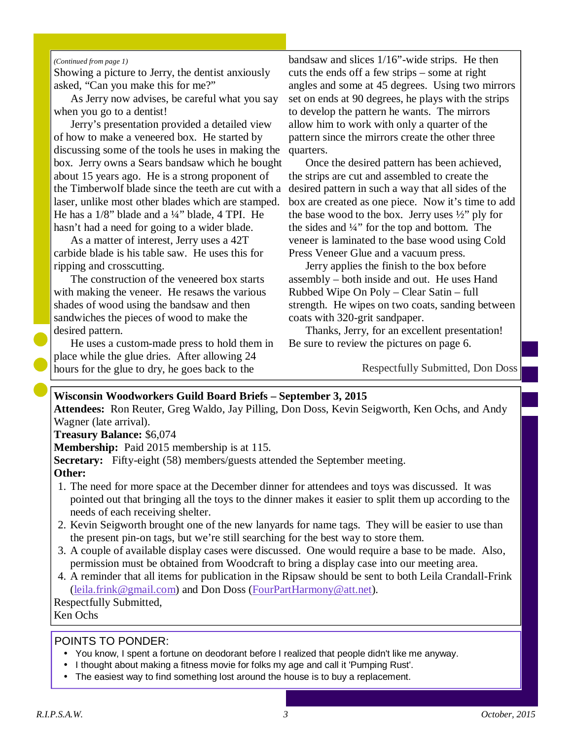#### *(Continued from page 1)*

Showing a picture to Jerry, the dentist anxiously asked, "Can you make this for me?"

As Jerry now advises, be careful what you say when you go to a dentist!

Jerry's presentation provided a detailed view of how to make a veneered box. He started by discussing some of the tools he uses in making the box. Jerry owns a Sears bandsaw which he bought about 15 years ago. He is a strong proponent of the Timberwolf blade since the teeth are cut with a laser, unlike most other blades which are stamped. He has a  $1/8$ " blade and a  $\frac{1}{4}$ " blade, 4 TPI. He hasn't had a need for going to a wider blade.

As a matter of interest, Jerry uses a 42T carbide blade is his table saw. He uses this for ripping and crosscutting.

The construction of the veneered box starts with making the veneer. He resaws the various shades of wood using the bandsaw and then sandwiches the pieces of wood to make the desired pattern.

He uses a custom-made press to hold them in place while the glue dries. After allowing 24 hours for the glue to dry, he goes back to the

bandsaw and slices 1/16"-wide strips. He then cuts the ends off a few strips – some at right angles and some at 45 degrees. Using two mirrors set on ends at 90 degrees, he plays with the strips to develop the pattern he wants. The mirrors allow him to work with only a quarter of the pattern since the mirrors create the other three quarters.

Once the desired pattern has been achieved, the strips are cut and assembled to create the desired pattern in such a way that all sides of the box are created as one piece. Now it's time to add the base wood to the box. Jerry uses  $\frac{1}{2}$ " ply for the sides and ¼" for the top and bottom. The veneer is laminated to the base wood using Cold Press Veneer Glue and a vacuum press.

Jerry applies the finish to the box before assembly – both inside and out. He uses Hand Rubbed Wipe On Poly – Clear Satin – full strength. He wipes on two coats, sanding between coats with 320-grit sandpaper.

Thanks, Jerry, for an excellent presentation! Be sure to review the pictures on page 6.

Respectfully Submitted, Don Doss

## **Wisconsin Woodworkers Guild Board Briefs – September 3, 2015**

**Attendees:** Ron Reuter, Greg Waldo, Jay Pilling, Don Doss, Kevin Seigworth, Ken Ochs, and Andy Wagner (late arrival).

**Treasury Balance:** \$6,074

**Membership:** Paid 2015 membership is at 115.

**Secretary:** Fifty-eight (58) members/guests attended the September meeting. **Other:**

- 1. The need for more space at the December dinner for attendees and toys was discussed. It was pointed out that bringing all the toys to the dinner makes it easier to split them up according to the needs of each receiving shelter.
- 2. Kevin Seigworth brought one of the new lanyards for name tags. They will be easier to use than the present pin-on tags, but we're still searching for the best way to store them.
- 3. A couple of available display cases were discussed. One would require a base to be made. Also, permission must be obtained from Woodcraft to bring a display case into our meeting area.
- 4. A reminder that all items for publication in the Ripsaw should be sent to both Leila Crandall-Frink (leila.frink@gmail.com) and Don Doss (FourPartHarmony@att.net).

Respectfully Submitted, Ken Ochs

#### POINTS TO PONDER:

- You know, I spent a fortune on deodorant before I realized that people didn't like me anyway.
- I thought about making a fitness movie for folks my age and call it 'Pumping Rust'.
- The easiest way to find something lost around the house is to buy a replacement.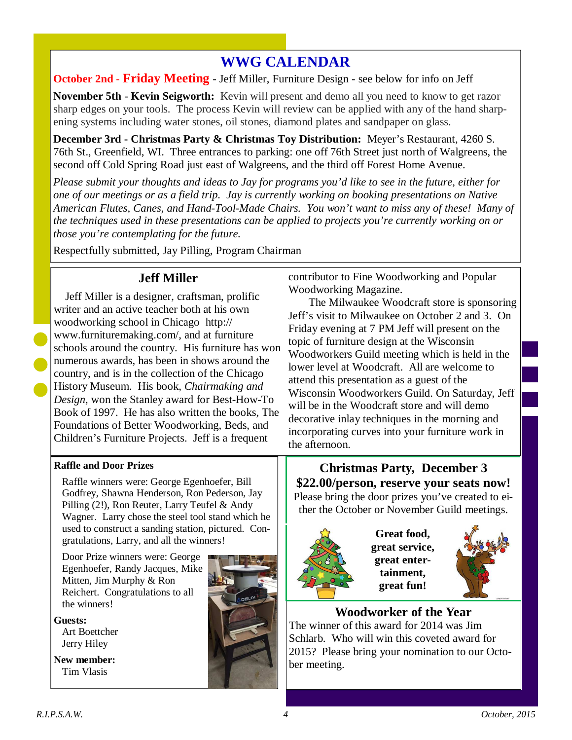# **WWG CALENDAR**

**October 2nd** - **Friday Meeting** - Jeff Miller, Furniture Design - see below for info on Jeff

**November 5th** - **Kevin Seigworth:** Kevin will present and demo all you need to know to get razor sharp edges on your tools. The process Kevin will review can be applied with any of the hand sharpening systems including water stones, oil stones, diamond plates and sandpaper on glass.

**December 3rd - Christmas Party & Christmas Toy Distribution:** Meyer's Restaurant, 4260 S. 76th St., Greenfield, WI. Three entrances to parking: one off 76th Street just north of Walgreens, the second off Cold Spring Road just east of Walgreens, and the third off Forest Home Avenue.

*Please submit your thoughts and ideas to Jay for programs you'd like to see in the future, either for one of our meetings or as a field trip. Jay is currently working on booking presentations on Native American Flutes, Canes, and Hand-Tool-Made Chairs. You won't want to miss any of these! Many of the techniques used in these presentations can be applied to projects you're currently working on or those you're contemplating for the future.* 

Respectfully submitted, Jay Pilling, Program Chairman

# **Jeff Miller**

 Jeff Miller is a designer, craftsman, prolific writer and an active teacher both at his own woodworking school in Chicago http:// www.furnituremaking.com/, and at furniture schools around the country. His furniture has won numerous awards, has been in shows around the country, and is in the collection of the Chicago History Museum. His book, *Chairmaking and Design*, won the Stanley award for Best-How-To Book of 1997. He has also written the books, The Foundations of Better Woodworking, Beds, and Children's Furniture Projects. Jeff is a frequent

## **Raffle and Door Prizes**

Raffle winners were: George Egenhoefer, Bill Godfrey, Shawna Henderson, Ron Pederson, Jay Pilling (2!), Ron Reuter, Larry Teufel & Andy Wagner. Larry chose the steel tool stand which he used to construct a sanding station, pictured. Congratulations, Larry, and all the winners!

Door Prize winners were: George Egenhoefer, Randy Jacques, Mike Mitten, Jim Murphy & Ron Reichert. Congratulations to all the winners!

#### **Guests:**

Art Boettcher Jerry Hiley

**New member:**  Tim Vlasis



contributor to Fine Woodworking and Popular Woodworking Magazine.

The Milwaukee Woodcraft store is sponsoring Jeff's visit to Milwaukee on October 2 and 3. On Friday evening at 7 PM Jeff will present on the topic of furniture design at the Wisconsin Woodworkers Guild meeting which is held in the lower level at Woodcraft. All are welcome to attend this presentation as a guest of the Wisconsin Woodworkers Guild. On Saturday, Jeff will be in the Woodcraft store and will demo decorative inlay techniques in the morning and incorporating curves into your furniture work in the afternoon.

**Christmas Party, December 3 \$22.00/person, reserve your seats now!**  Please bring the door prizes you've created to either the October or November Guild meetings.



**Great food, great service, great entertainment, great fun!** 



# **Woodworker of the Year**

The winner of this award for 2014 was Jim Schlarb. Who will win this coveted award for 2015? Please bring your nomination to our October meeting.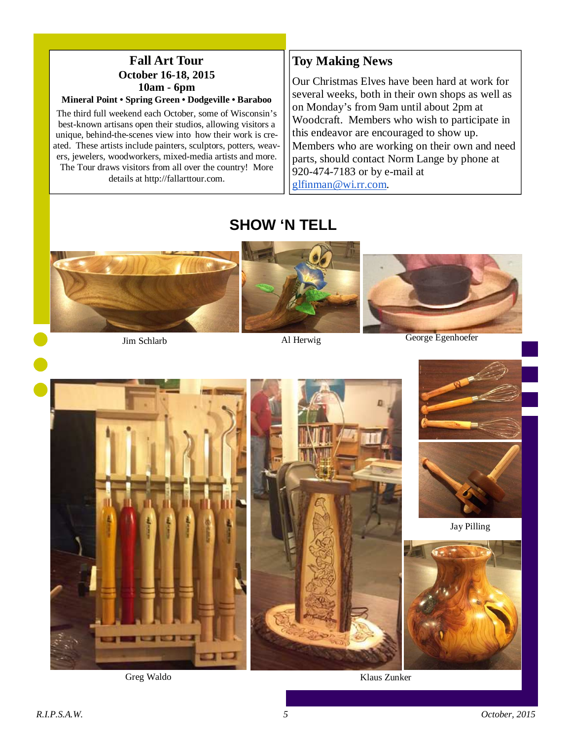# **Fall Art Tour October 16-18, 2015 10am - 6pm**

## **Mineral Point • Spring Green • Dodgeville • Baraboo**

The third full weekend each October, some of Wisconsin's best-known artisans open their studios, allowing visitors a unique, behind-the-scenes view into how their work is created. These artists include painters, sculptors, potters, weavers, jewelers, woodworkers, mixed-media artists and more. The Tour draws visitors from all over the country! More details at http://fallarttour.com.

## **Toy Making News**

Our Christmas Elves have been hard at work for several weeks, both in their own shops as well as on Monday's from 9am until about 2pm at Woodcraft. Members who wish to participate in this endeavor are encouraged to show up. Members who are working on their own and need parts, should contact Norm Lange by phone at 920-474-7183 or by e-mail at glfinman@wi.rr.com.

# **SHOW 'N TELL**



Jim Schlarb

Al Herwig George Egenhoefer



Greg Waldo





Jay Pilling



Klaus Zunker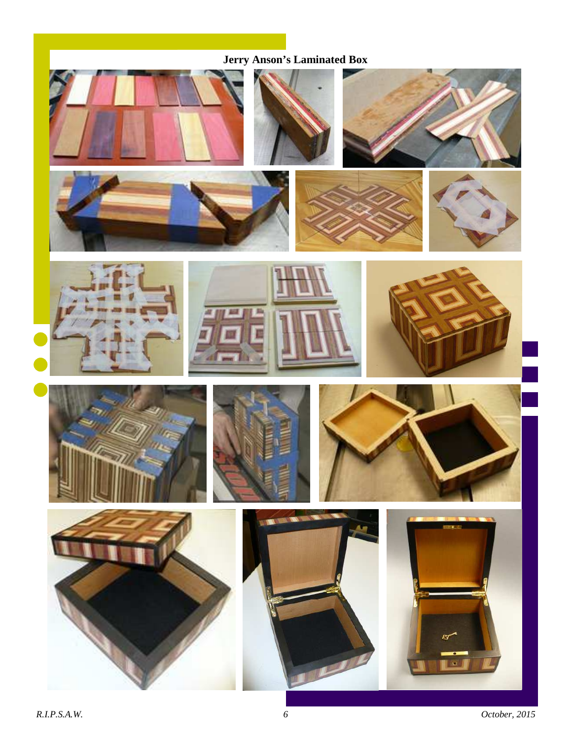